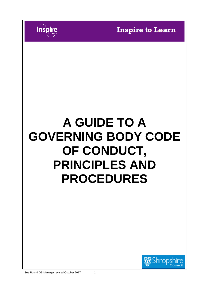

# **A GUIDE TO A GOVERNING BODY CODE OF CONDUCT, PRINCIPLES AND PROCEDURES**



Inspi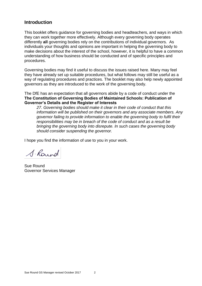## **Introduction**

This booklet offers guidance for governing bodies and headteachers, and ways in which they can work together more effectively. Although every governing body operates differently **all** governing bodies rely on the contributions of individual governors. As individuals your thoughts and opinions are important in helping the governing body to make decisions about the interest of the school, however, it is helpful to have a common understanding of how business should be conducted and of specific principles and procedures.

Governing bodies may find it useful to discuss the issues raised here. Many may feel they have already set up suitable procedures, but what follows may still be useful as a way of regulating procedures and practices. The booklet may also help newly appointed governors as they are introduced to the work of the governing body.

The DfE has an expectation that all governors abide by a code of conduct under the **The Constitution of Governing Bodies of Maintained Schools: Publication of Governor's Details and the Register of Interests**

*27. Governing bodies should make it clear in their code of conduct that this information will be published on their governors and any associate members. Any governor failing to provide information to enable the governing body to fulfil their responsibilities may be in breach of the code of conduct and as a result be bringing the governing body into disrepute. In such cases the governing body should consider suspending the governor.*

I hope you find the information of use to you in your work.

S. Round

Sue Round Governor Services Manager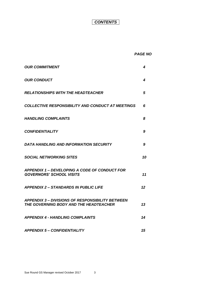# *CONTENTS*

#### *PAGE NO*

| <b>OUR COMMITMENT</b>                                                                             | 4  |
|---------------------------------------------------------------------------------------------------|----|
| <b>OUR CONDUCT</b>                                                                                | 4  |
| <b>RELATIONSHIPS WITH THE HEADTEACHER</b>                                                         | 5  |
| COLLECTIVE RESPONSIBILITY AND CONDUCT AT MEETINGS                                                 | 6  |
| <b>HANDLING COMPLAINTS</b>                                                                        | 8  |
| <b>CONFIDENTIALITY</b>                                                                            | 9  |
| <b>DATA HANDLING AND INFORMATION SECURITY</b>                                                     | 9  |
| <b>SOCIAL NETWORKING SITES</b>                                                                    | 10 |
| <b>APPENDIX 1 – DEVELOPING A CODE OF CONDUCT FOR</b><br><b>GOVERNORS' SCHOOL VISITS</b>           | 11 |
| <b>APPENDIX 2 - STANDARDS IN PUBLIC LIFE</b>                                                      | 12 |
| <b>APPENDIX 3 – DIVISIONS OF RESPONSIBILITY BETWEEN</b><br>THE GOVERNING BODY AND THE HEADTEACHER | 13 |
| <b>APPENDIX 4 - HANDLING COMPLAINTS</b>                                                           | 14 |
| <b>APPENDIX 5 - CONFIDENTIALITY</b>                                                               | 15 |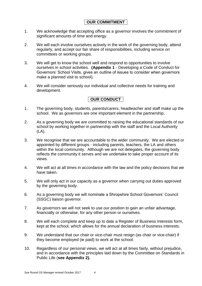## **OUR COMMITMENT**

- 1. We acknowledge that accepting office as a governor involves the commitment of significant amounts of time and energy.
- 2. We will each involve ourselves actively in the work of the governing body, attend regularly, and accept our fair share of responsibilities, including service on committees or working groups.
- 3. We will get to know the school well and respond to opportunities to involve ourselves in school activities. **(Appendix 1** - Developing a Code of Conduct for Governors' School Visits, gives an outline of issues to consider when governors make a planned visit to school).
- 4. We will consider seriously our individual and collective needs for training and development.

## **OUR CONDUCT**

- 1. The governing body, students, parents/carers, headteacher and staff make up the school. We as governors are one important element in the partnership.
- 2. As a governing body we are committed to raising the educational standards of our school by working together in partnership with the staff and the Local Authority (LA).
- 3. We recognise that we are accountable to the wider community. We are elected or appointed by different groups - including parents, teachers, the LA and others within the local community. Although we are not delegates, the governing body reflects the community it serves and we undertake to take proper account of its views.
- 4. We will act at all times in accordance with the law and the policy decisions that we have taken.
- 5. We will only act in our capacity as a governor when carrying out duties approved by the governing body.
- 6. As a governing body we will nominate a Shropshire School Governors' Council (SSGC) liaison governor.
- 7. As governors we will not seek to use our position to gain an unfair advantage, financially or otherwise, for any other person or ourselves.
- 8. We will each complete and keep up to date a Register of Business Interests form, kept at the school, which allows for the annual declaration of business interests.
- 9. We understand that our chair or vice-chair must resign (as chair or vice-chair) if they become employed (ie paid) to work at the school.
- 10. Regardless of our personal views, we will act at all times fairly, without prejudice, and in accordance with the principles laid down by the Committee on Standards in Public Life (**see Appendix 2).**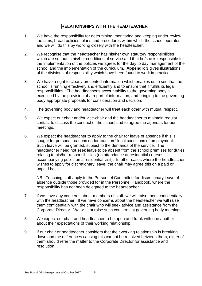### **RELATIONSHIPS WITH THE HEADTEACHER**

- 1. We have the responsibility for determining, monitoring and keeping under review the aims, broad policies, plans and procedures within which the school operates and we will do this by working closely with the headteacher.
- 2. We recognise that the headteacher has his/her own statutory responsibilities which are set out in his/her conditions of service and that he/she is responsible for the implementation of the policies we agree, for the day to day management of the school and the implementation of the curriculum. **Appendix 3** gives illustrations of the divisions of responsibility which have been found to work in practice.
- 3. We have a right to clearly presented information which enables us to see that the school is running effectively and efficiently and to ensure that it fulfils its legal responsibilities. The headteacher's accountability to the governing body is exercised by the provision of a report of information, and bringing to the governing body appropriate proposals for consideration and decision.
- 4. The governing body and headteacher will treat each other with mutual respect.
- 5. We expect our chair and/or vice-chair and the headteacher to maintain regular contact to discuss the conduct of the school and to agree the agendas for our meetings.
- 6. We expect the headteacher to apply to the chair for leave of absence if this is sought for personal reasons under teachers' local conditions of employment. Such leave will be granted, subject to the demands of the service. The headteacher need not seek leave to be absent from the school premises for duties relating to his/her responsibilities (eg attendance at residential courses, accompanying pupils on a residential visit). In other cases where the headteacher wishes to apply for discretionary leave, the chair may agree this on a paid or unpaid basis.

NB: Teaching staff apply to the Personnel Committee for discretionary leave of absence outside those provided for in the Personnel Handbook, where the responsibility has not been delegated to the headteacher.

- 7. If we have any concerns about members of staff, we will raise them confidentially with the headteacher. If we have concerns about the headteacher we will raise them confidentially with the chair who will seek advice and assistance from the Corporate Director. We will not raise such concerns at governing body meetings.
- 8. We expect our chair and headteacher to be open and frank with one another about their expectations of their working relationship.
- 9. If our chair or headteacher considers that their working relationship is breaking down and the differences causing this cannot be resolved between them, either of them should refer the matter to the Corporate Director for assistance and resolution.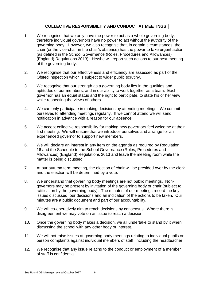## **COLLECTIVE RESPONSIBILITY AND CONDUCT AT MEETINGS**

- 1. We recognise that we only have the power to act as a whole governing body; therefore individual governors have no power to act without the authority of the governing body. However, we also recognise that, in certain circumstances, the chair (or the vice-chair in the chair's absence) has the power to take urgent action (as defined in the School Governance (Roles, Procedures and Allowances) (England) Regulations 2013). He/she will report such actions to our next meeting of the governing body.
- 2. We recognise that our effectiveness and efficiency are assessed as part of the Ofsted inspection which is subject to wider public scrutiny.
- 3. We recognise that our strength as a governing body lies in the qualities and aptitudes of our members, and in our ability to work together as a team. Each governor has an equal status and the right to participate, to state his or her view while respecting the views of others.
- 4. We can only participate in making decisions by attending meetings. We commit ourselves to attending meetings regularly. If we cannot attend we will send notification in advance with a reason for our absence.
- 5. We accept collective responsibility for making new governors feel welcome at their first meeting. We will ensure that we introduce ourselves and arrange for an experienced governor to support new members.
- 6. We will declare an interest in any item on the agenda as required by Regulation 16 and the Schedule to the School Governance (Roles, Procedures and Allowances) (England) Regulations 2013 and leave the meeting room while the matter is being discussed.
- 7. At our autumn term meeting, the election of chair will be presided over by the clerk and the election will be determined by a vote.
- 8. We understand that governing body meetings are not public meetings. Nongovernors may be present by invitation of the governing body or chair (subject to ratification by the governing body). The minutes of our meetings record the key issues discussed, our decisions and an indication of the actions to be taken. Our minutes are a public document and part of our accountability.
- 9. We will co-operatively aim to reach decisions by consensus. Where there is disagreement we may vote on an issue to reach a decision.
- 10. Once the governing body makes a decision, we all undertake to stand by it when discussing the school with any other body or interest.
- 11. We will not raise issues at governing body meetings relating to individual pupils or person complaints against individual members of staff, including the headteacher.
- 12. We recognise that any issue relating to the conduct or employment of a member of staff is confidential.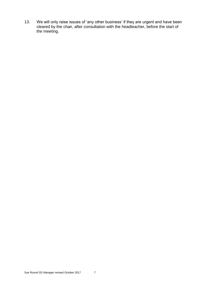13. We will only raise issues of 'any other business' if they are urgent and have been cleared by the chair, after consultation with the headteacher, before the start of the meeting.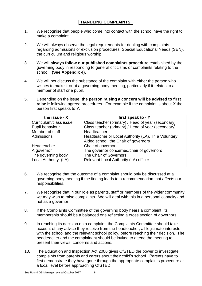## **HANDLING COMPLAINTS**

- 1. We recognise that people who come into contact with the school have the right to make a complaint.
- 2. We will always observe the legal requirements for dealing with complaints regarding admissions or exclusion procedures, Special Educational Needs (SEN), the curriculum and religious worship.
- 3. We will **always follow our published complaints procedure** established by the governing body in responding to general criticisms or complaints relating to the school. **(See Appendix 4).**
- 4. We will not discuss the substance of the complaint with either the person who wishes to make it or at a governing body meeting, particularly if it relates to a member of staff or a pupil.
- 5. Depending on the issue, **the person raising a concern will be advised to first raise it** following agreed procedures. For example if the complaint is about X the person first speaks to Y.

| the issue - X          | first speak to - Y                                  |
|------------------------|-----------------------------------------------------|
| Curriculum/class issue | Class teacher (primary) / Head of year (secondary)  |
| Pupil behaviour        | Class teacher (primary) / Head of year (secondary)  |
| Member of staff        | Headteacher                                         |
| Admissions             | Headteacher or Local Authority (LA). In a Voluntary |
|                        | Aided school, the Chair of governors                |
| Headteacher            | Chair of governors                                  |
| A governor             | The governor concerned/chair of governors           |
| The governing body     | The Chair of Governors                              |
| Local Authority (LA)   | Relevant Local Authority (LA) officer               |
|                        |                                                     |

- 6. We recognise that the outcome of a complaint should only be discussed at a governing body meeting if the finding leads to a recommendation that affects our responsibilities.
- 7. We recognise that in our role as parents, staff or members of the wider community we may wish to raise complaints. We will deal with this in a personal capacity and not as a governor.
- 8. If the Complaints Committee of the governing body hears a complaint, its membership should be a balanced one reflecting a cross section of governors.
- 9. In reaching its decision on a complaint, the Complaints Committee should take account of any advice they receive from the headteacher, all legitimate interests with the school and the relevant school policy, before reaching their decision. The headteacher and the complainant should be invited to attend the meeting to present their views, concerns and actions.
- 10. The Education and Inspection Act 2006 gives OfSTED the power to investigate complaints from parents and carers about their child's school. Parents have to first demonstrate they have gone through the appropriate complaints procedure at a local level before approaching OfSTED.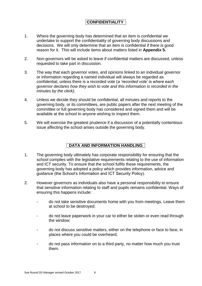## **CONFIDENTIALITY**

- 1. Where the governing body has determined that an item is confidential we undertake to support the confidentiality of governing body discussions and decisions. We will only determine that an item is confidential if there is good reason for it. This will include items about matters listed in **Appendix 5.**
- 2. Non-governors will be asked to leave if confidential matters are discussed, unless requested to take part in discussion.
- 3. The way that each governor votes, and opinions linked to an individual governor or information regarding a named individual will always be regarded as confidential, unless there is a recorded vote (*a 'recorded vote' is where each governor declares how they wish to vote and this information is recorded in the minutes by the clerk).*
- 4. Unless we decide they should be confidential, all minutes and reports to the governing body, or its committees, are public papers after the next meeting of the committee or full governing body has considered and signed them and will be available at the school to anyone wishing to inspect them.
- 5. We will exercise the greatest prudence if a discussion of a potentially contentious issue affecting the school arises outside the governing body.

## **DATA AND INFORMATION HANDLING**

- 1. The governing body ultimately has corporate responsibility for ensuring that the school complies with the legislative requirements relating to the use of information and ICT security. To ensure that the school fulfils these requirements, the governing body has adopted a policy which provides information, advice and guidance (the School's Information and ICT Security Policy).
- 2. However governors as individuals also have a personal responsibility to ensure that sensitive information relating to staff and pupils remains confidential. Ways of ensuring this happens include:
	- do not take sensitive documents home with you from meetings. Leave them at school to be destroyed;
	- do not leave paperwork in your car to either be stolen or even read through the window;
	- do not discuss sensitive matters, either on the telephone or face to face, in places where you could be overheard;
	- do not pass information on to a third party, no matter how much you trust them.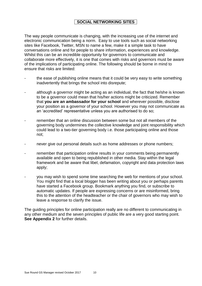## **SOCIAL NETWORKING SITES**

The way people communicate is changing, with the increasing use of the internet and electronic communication being a norm. Easy to use tools such as social networking sites like Facebook, Twitter, MSN to name a few, make it a simple task to have conversations online and for people to share information, experiences and knowledge. Whilst this can be an incredible opportunity for governors to communicate and collaborate more effectively, it is one that comes with risks and governors must be aware of the implications of participating online. The following should be borne in mind to ensure that risks are limited:

- the ease of publishing online means that it could be very easy to write something inadvertently that brings the school into disrepute;
- although a governor might be acting as an individual, the fact that he/she is known to be a governor could mean that his/her actions might be criticized. Remember that **you are an ambassador for your school** and wherever possible, disclose your position as a governor of your school. However you may not communicate as an 'accredited' representative unless you are authorised to do so;
- remember that an online discussion between some but not all members of the governing body undermines the collective knowledge and joint responsibility which could lead to a two-tier governing body i.e. those participating online and those not;
- hever give out personal details such as home addresses or phone numbers;
- remember that participation online results in your comments being permanently available and open to being republished in other media. Stay within the legal framework and be aware that libel, defamation, copyright and data protection laws apply;
- you may wish to spend some time searching the web for mentions of your school. You might find that a local blogger has been writing about you or perhaps parents have started a Facebook group. Bookmark anything you find, or subscribe to automatic updates. If people are expressing concerns or are misinformed, bring this to the attention of the headteacher or the chair of governors who may wish to leave a response to clarify the issue.

The guiding principles for online participation really are no different to communicating in any other medium and the seven principles of public life are a very good starting point. **See Appendix 2** for further details.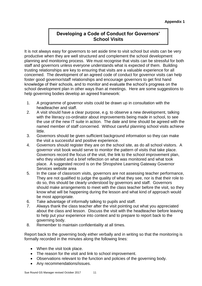# **Developing a Code of Conduct for Governors' School Visits**

It is not always easy for governors to set aside time to visit school but visits can be very productive when they are well structured and complement the school development planning and monitoring process. We must recognise that visits can be stressful for both staff and governors unless everyone understands what is expected of them. Building trusting relationships are key to ensuring that visits are a valuable experience for all concerned. The development of an agreed code of conduct for governor visits can help foster good governor/staff relationships and encourage governors to get first hand knowledge of their schools, and to monitor and evaluate the school's progress on the school development plan in other ways than at meetings. Here are some suggestions to help governing bodies develop an agreed framework:

- 1. A programme of governor visits could be drawn up in consultation with the headteacher and staff.
- 2. A visit should have a clear purpose, e.g. to observe a new development, talking with the literacy co-ordinator about improvements being made in school, to see the use of the new IT suite in action. The date and time should be agreed with the named member of staff concerned. Without careful planning school visits achieve little.
- 3. Governors should be given sufficient background information so they can make the visit a successful and positive experience.
- 4. Governors should register they are on the school site, as do all school visitors. A governor visit book would serve to monitor the pattern of visits that take place. Governors record the focus of the visit, the link to the school improvement plan, who they visited and a brief reflection on what was monitored and what took place. A suggested record is on the Shropshire Learning Gateway Governor Services website area
- 5. In the case of classroom visits, governors are not assessing teacher performance, They are not qualified to judge the quality of what they see, nor is that their role to do so, this should be clearly understood by governors and staff. Governors should make arrangements to meet with the class teacher before the visit, so they know what will be happening during the lesson and what kind of approach would be most appropriate.
- 6. Take advantage of informally talking to pupils and staff.
- 7. Always thank the class teacher after the visit pointing out what you appreciated about the class and lesson. Discuss the visit with the headteacher before leaving to help put your experience into context and to prepare to report back to the governing body.
- 8. Remember to maintain confidentiality at all times.

Report back to the governing body either verbally and in writing so that the monitoring is formally recorded in the minutes along the following lines:

- When the visit took place.
- The reason for the visit and link to school improvement.
- Observations relevant to the function and policies of the governing body.
- Any recommendations/issues.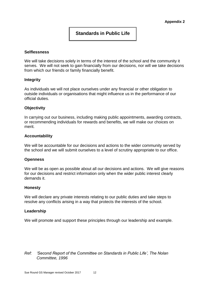## **Standards in Public Life**

#### **Selflessness**

We will take decisions solely in terms of the interest of the school and the community it serves. We will not seek to gain financially from our decisions, nor will we take decisions from which our friends or family financially benefit.

#### **Integrity**

As individuals we will not place ourselves under any financial or other obligation to outside individuals or organisations that might influence us in the performance of our official duties.

#### **Objectivity**

In carrying out our business, including making public appointments, awarding contracts, or recommending individuals for rewards and benefits, we will make our choices on merit.

#### **Accountability**

We will be accountable for our decisions and actions to the wider community served by the school and we will submit ourselves to a level of scrutiny appropriate to our office.

#### **Openness**

We will be as open as possible about all our decisions and actions. We will give reasons for our decisions and restrict information only when the wider public interest clearly demands it.

#### **Honesty**

We will declare any private interests relating to our public duties and take steps to resolve any conflicts arising in a way that protects the interests of the school.

#### **Leadership**

We will promote and support these principles through our leadership and example.

#### *Ref: 'Second Report of the Committee on Standards in Public Life', The Nolan Committee, 1996*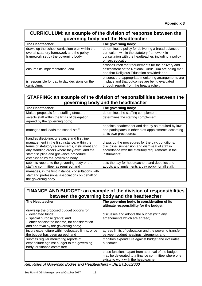## **CURRICULUM: an example of the division of response between the governing body and the Headteacher**

| The Headteacher:                                                                                                                     | The governing body:                                                                                                                                                               |
|--------------------------------------------------------------------------------------------------------------------------------------|-----------------------------------------------------------------------------------------------------------------------------------------------------------------------------------|
| draws up the school curriculum plan within the<br>overall statutory framework and the policy<br>framework set by the governing body; | determines a policy for delivering a broad balanced<br>curriculum within the statutory framework in<br>consultation with the headteacher, including a policy<br>on sex education; |
| ensures its implementation; and                                                                                                      | satisfies itself that requirements for the delivery and<br>assessment of the National Curriculum are being met<br>and that Religious Education provided; and                      |
| is responsible for day to day decisions on the<br>curriculum.                                                                        | ensures that appropriate monitoring arrangements are<br>in place and that outcomes are being evaluated<br>through reports from the headteacher.                                   |

# **STAFFING: an example of the division of responsibilities between the governing body and the headteacher**

| The Headteacher:                                                                                                                                                                                                                                                                   | The governing body:                                                                                                                                                       |
|------------------------------------------------------------------------------------------------------------------------------------------------------------------------------------------------------------------------------------------------------------------------------------|---------------------------------------------------------------------------------------------------------------------------------------------------------------------------|
| Makes proposals for a staffing structure;                                                                                                                                                                                                                                          | determines the staffing complement;                                                                                                                                       |
| selects staff within the limits of delegation<br>agreed by the governing body;                                                                                                                                                                                                     | determines the staffing complement;                                                                                                                                       |
| manages and leads the school staff;                                                                                                                                                                                                                                                | appoints headteacher and deputy as required by law<br>and participates in other staff appointments according<br>to its own procedures;                                    |
| handles discipline, grievance and first line<br>management in the first instance, within the<br>terms of statutory requirements, instrument and<br>any standing orders where they exist, and the<br>staff discipline and grievance procedure<br>established by the governing body; | draws up the procedures for the pay, conditions,<br>discipline, suspension and dismissal of staff in<br>accordance with the statutory requirements in the<br>instruments; |
| submits reports to the governing body or the<br>staffing committee, as required; and                                                                                                                                                                                               | sets the pay for headteachers and deputies and<br>adopts and implements a pay policy for all staff;                                                                       |
| manages, in the first instance, consultations with<br>staff and professional associations on behalf of<br>the governing body.                                                                                                                                                      |                                                                                                                                                                           |

## **FINANCE AND BUDGET: an example of the division of responsibilities between the governing body and the headteacher**

| The Headteacher:                                                                                                                                                                         | The governing body, in consideration of its<br>ultimate responsibility for the budget:                                                           |
|------------------------------------------------------------------------------------------------------------------------------------------------------------------------------------------|--------------------------------------------------------------------------------------------------------------------------------------------------|
| draws up the proposed budget options for:<br>- delegated funds;<br>- special purpose grants; and<br>- other anticipated income, for consideration<br>and approval by the governing body; | discusses and adopts the budget (with any<br>amendments which are agreed);                                                                       |
| incurs expenditure within delegated limits, once<br>the budget has been agreed; and                                                                                                      | agrees limits of delegation and the power to transfer<br>between budget headings (virement); and                                                 |
| submits regular monitoring reports of<br>expenditure against budget to the governing<br>body, or finance committee.                                                                      | monitors expenditure against budget and evaluates<br>outcomes:                                                                                   |
|                                                                                                                                                                                          | these functions, apart from approval of the budget,<br>may be delegated to a finance committee where one<br>exists to work with the headteacher. |

*Ref: Roles of Governing Bodies and Headteachers – DfEE 0168/2000*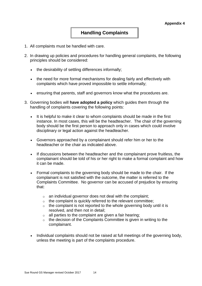## **Handling Complaints**

- 1. All complaints must be handled with care.
- 2. In drawing up policies and procedures for handling general complaints, the following principles should be considered:
	- the desirability of settling differences informally;
	- the need for more formal mechanisms for dealing fairly and effectively with complaints which have proved impossible to settle informally;
	- ensuring that parents, staff and governors know what the procedures are.
- 3. Governing bodies will **have adopted a policy** which guides them through the handling of complaints covering the following points:
	- It is helpful to make it clear to whom complaints should be made in the first instance. In most cases, this will be the headteacher. The chair of the governing body should be the first person to approach only in cases which could involve disciplinary or legal action against the headteacher.
	- Governors approached by a complainant should refer him or her to the headteacher or the chair as indicated above.
	- If discussions between the headteacher and the complainant prove fruitless, the complainant should be told of his or her right to make a formal complaint and how it can be made.
	- Formal complaints to the governing body should be made to the chair. If the complainant is not satisfied with the outcome, the matter is referred to the Complaints Committee. No governor can be accused of prejudice by ensuring that:
		- $\circ$  an individual governor does not deal with the complaint;
		- $\circ$  the complaint is quickly referred to the relevant committee;
		- $\circ$  the complaint is not reported to the whole governing body until it is resolved, and then not in detail;
		- $\circ$  all parties to the complaint are given a fair hearing;
		- $\circ$  the decision of the Complaints Committee is given in writing to the complainant.
	- Individual complaints should not be raised at full meetings of the governing body, unless the meeting is part of the complaints procedure.